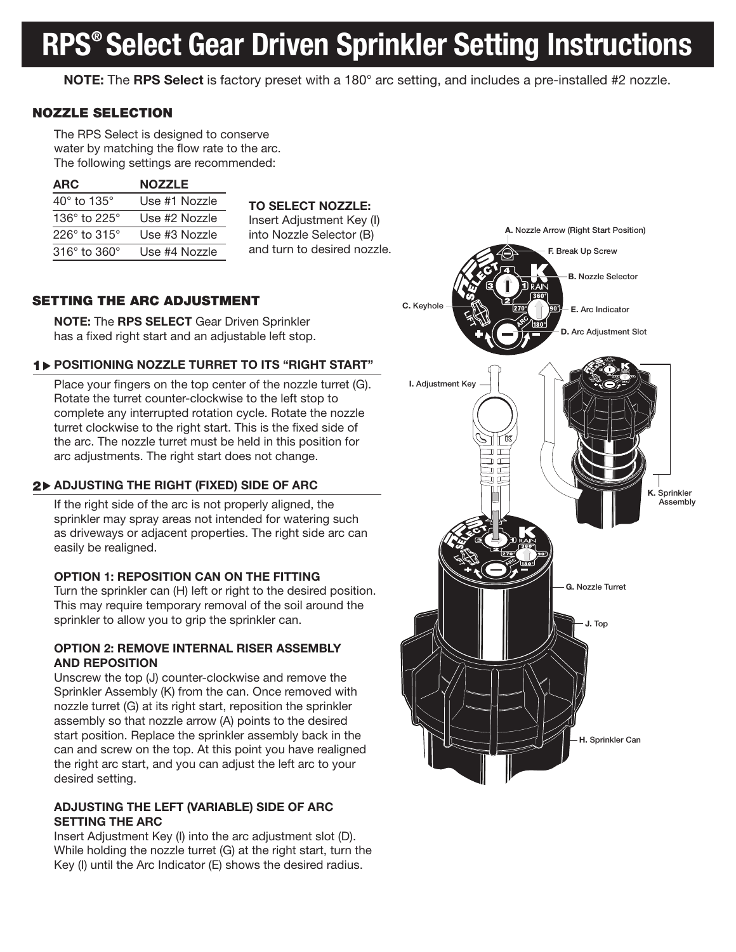# RPS® Select Gear Driven Sprinkler Setting Instructions

NOTE: The RPS Select is factory preset with a 180° arc setting, and includes a pre-installed #2 nozzle.

## NOZZLE SELECTION

The RPS Select is designed to conserve water by matching the flow rate to the arc. The following settings are recommended:

| ARC                              | <b>NOZZLE</b> |
|----------------------------------|---------------|
| $40^{\circ}$ to 135 $^{\circ}$   | Use #1 Nozzle |
| 136 $^{\circ}$ to 225 $^{\circ}$ | Use #2 Nozzle |
| 226 $\degree$ to 315 $\degree$   | Use #3 Nozzle |
| $316^\circ$ to $360^\circ$       | Use #4 Nozzle |

#### TO SELECT NOZZLE:

Insert Adjustment Key (I) into Nozzle Selector (B) and turn to desired nozzle.

# SETTING THE ARC ADJUSTMENT

NOTE: The RPS SELECT Gear Driven Sprinkler has a fixed right start and an adjustable left stop.

# 1 POSITIONING NOZZLE TURRET TO ITS "RIGHT START"

Place your fingers on the top center of the nozzle turret (G). Rotate the turret counter-clockwise to the left stop to complete any interrupted rotation cycle. Rotate the nozzle turret clockwise to the right start. This is the fixed side of the arc. The nozzle turret must be held in this position for arc adjustments. The right start does not change.

# $2\blacktriangleright$  ADJUSTING THE RIGHT (FIXED) SIDE OF ARC

If the right side of the arc is not properly aligned, the sprinkler may spray areas not intended for watering such as driveways or adjacent properties. The right side arc can easily be realigned.

### OPTION 1: REPOSITION CAN ON THE FITTING

Turn the sprinkler can (H) left or right to the desired position. This may require temporary removal of the soil around the sprinkler to allow you to grip the sprinkler can.

#### OPTION 2: REMOVE INTERNAL RISER ASSEMBLY AND REPOSITION

Unscrew the top (J) counter-clockwise and remove the Sprinkler Assembly (K) from the can. Once removed with nozzle turret (G) at its right start, reposition the sprinkler assembly so that nozzle arrow (A) points to the desired start position. Replace the sprinkler assembly back in the can and screw on the top. At this point you have realigned the right arc start, and you can adjust the left arc to your desired setting.

## ADJUSTING THE LEFT (VARIABLE) SIDE OF ARC SETTING THE ARC

Insert Adjustment Key (I) into the arc adjustment slot (D). While holding the nozzle turret (G) at the right start, turn the Key (I) until the Arc Indicator (E) shows the desired radius.